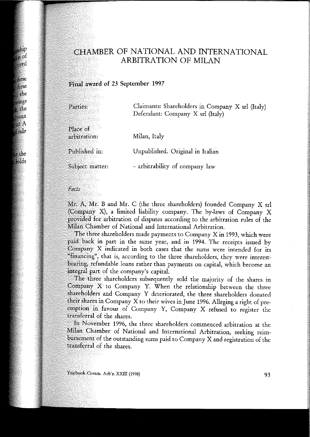# CHAMBER OF NATIONAL AND INTERNATIONAL ARBITRATION OF MILAN

### Final award of 23 September 1997

| Parties:                 | Claimants: Shareholders in Company X srl (Italy)<br>Defendant: Company X srl (Italy) |
|--------------------------|--------------------------------------------------------------------------------------|
| Place of<br>arbitration: | Milan, Italy                                                                         |
| Published in:            | Unpublished. Original in Italian                                                     |
| Subject matter:          | - arbitrability of company law                                                       |

### Facts

Mr. A, Mr. B and Mr. C (the three shareholders) founded Company X srl (Company X), a limited liability company. The by-laws of Company X provided for arbitration of disputes according to the arbitration rules of the Milan Chamber of National and International Arbitration.

The three shareholders made payments to Company X in 1993, which were paid back in part in the same year, and in 1994. The receipts issued by Company X indicated in both cases that the sums were intended for its "financing", that is, according to the three shareholders, they were interestbearing, refundable loans rather than payments on capital, which become an integral part of the company's capital.

The three shareholders subsequently sold the majority of the shares in  $\mathbb{C}$ ompany  $X$  to Company Y. When the relationship between the three shareholders and Company Y deteriorated, the three shareholders donated their shares in Company X to their wives in June 1996. Alleging a right of preemption in favour of Company Y, Company X refused to register the transferral of the shares.

In November 1996, the three shareholders commenced arbitration at the Milan Chamber of National and International Arbitration, seeking reimbursement of the outstanding sums paid to Company X and registration of the transferral of the shares.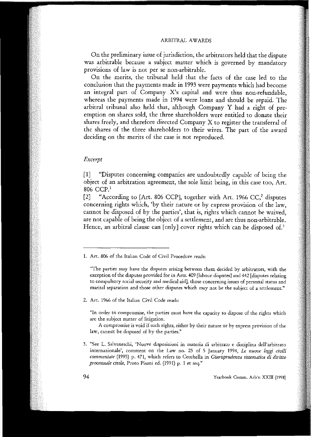## ARBITRAL AWARDS

On the preliminary issue of jurisdiction, the arbitrators held that the dispute was arbitrable because a subject matter which is governed by mandatory **provisions cf law is not per se non-arbitrable.**

On the merits, the tribunal held that the facts of the case led to the conclusion that the payments made in 1993 were payments which had become an integrai part of Company X's capitai and were thus non-refundable, whereas the payments made in 1994 were loans and should be repaid. The arbitrai tribunal also held that, although Company Y had a right of preemption on shares sold, the three shareholders were entitled to donate their shares freely, and therefore directed Company X to register the transferral of the shares of the three shareholders to their wives. The part of the award deciding on the merits of the case is not reproduced.

# *Excerpt*

[1] "Disputes concerning companies are undoubtedly capable of being the object of an arbitration agreement, the sole limit being, in this case too, Art. 806 CCP.'

[2] "According to [Art. 806 CCP], together with Art. 1966 CC,<sup>2</sup> disputes concerning rights which, 'by their nature or by express provision of the law, cannot be disposed of by the parties', that is, rights which cannot be waived, are not capable of being the object of a settlement, and are thus non-arbitrable. Hence, an arbitral clause can [only] cover rights which can be disposed of.<sup>3</sup>

**2. Art. 1966 of the Italian Civil Code reads:**

**"In order to compromise, the parties must have the capacity to dispose af the rights which are the subject matter of litigation.**

**A compromise is void if such rights, either by their nature or by express provision of the law, cannot be disposed of by the parties."**

**3. "See L. Salvaneschi, 'Nuove disposizioni in materia di arbitrato e disciplina dell'arbitrato internazionale', comment on the Law no. 25 of 5 January 1994,** *Le nuove leggi civili commentate* **(1995) p. 471, which refers to Cecchella in** *Giurisprudenza sistematica di diritto processuale civile,* **Proto Pisani ed. (1991) p. 1 et seg."**

**<sup>1.</sup> Art. 806 of the Italian Code af Civil Procedure reacls:**

**<sup>&</sup>quot;The parties may have the disputes arising between them decided by arbitrators, with the exception of the disputes provided for in Arts. 409 (labour disputes] and 442 [disputes relating to compulsory socia! security and medicaI aid], thase concerning issues of personal status and maritaI separation and thase other disputes which may not be the subject of a settlement."**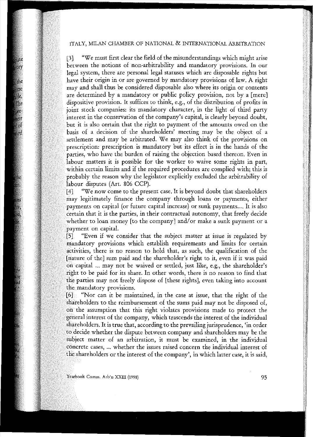# ITALY, MILAN CHAMBER OF NATIONAL & INTERNATIONAL ARBITRATION

[3] "We must first clear the field of the misunderstandings which might arise between the notions of non-arbitrability and mandatory provisions. In our legai system, there are personal legai statuses which are disposable rights but have their origin in or are governed by mandatory provisions of law. A right may and shall thus be considered disposable also where its origin or contents are determined by a mandatory or public policy provision, not by a [mere] dispositive provision. It suHices to think, e.g., of the distribution of profits in joint stock companies: its mandatory character, in the light of third party interest in the conservation of the company's capitai, is clearly beyond doubt, it is also certain that the right to payment of the amounts owed on the basis of a decision of the shareholders' meeting may be the object of a settlement and may be arbitrated. We may also think of the provisions on prescription: prescription is mandatory but its eHect is in the hands of the parties, who have the burden of raising the objection based thereon. Even in labour matters it is possible for the worker to waive some rights in part, within certain limits and if the required procedures are complied with; this is probably the reason why the legislator explicitly excluded the arbitrability of labour disputes (Art. 806 CCP).

"We now come to the present case. It is beyond doubt that shareholders  $[4]$ may legitimately finance the company through loans or payments, either payments on capital (or future capital increase) or sunk payments.... It is also certain that it is the parties, in their contractual autonomy, that freely decide whether to loan money [to the company] and/or make a sunk payment or a payment on capital.

"Even if we consider that the subject matter at issue is regulated by  $\overline{5}$ mandatory provisions which establish requirements and limits for certain activities, there is no reason to hold that, as such, the qualification of the [nature of the] sum paid and the shareholder's right to it, even if it was paid on capital ... may not be waived or settled, just like, e.g., the shareholder's right to be paid for its share. In other words, there is no reason to find that the parties may not freely dispose of [these rights], even taking into account **mandatory provisions.**

"Nor can it be maintained, in the case at issue, that the right of the  $[6]$ shareholders to the reimbursement of the sums paid may not be disposed of, the assumption that this right violates provisions made to protect the general interest of the company, which trascends the interest of the individual shareholders. It is true that, according to the prevailing jurisprudence, 'in order to decide whether the dispute between company and shareholders may be the **matter of an arbitration, it mus! be examined, in the individuaI** COncret:e **cases, 0'0 whether the issues raised concern the individuaI interest of**  $\frac{1}{\pi}$  the shareholders or the interest of the company', in which latter case, it is said,